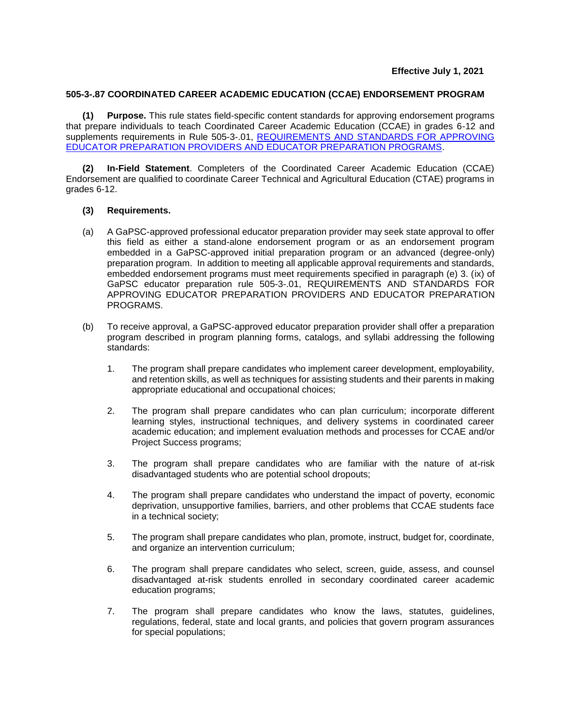## **505-3-.87 COORDINATED CAREER ACADEMIC EDUCATION (CCAE) ENDORSEMENT PROGRAM**

**(1) Purpose.** This rule states field-specific content standards for approving endorsement programs that prepare individuals to teach Coordinated Career Academic Education (CCAE) in grades 6-12 and supplements requirements in [Rule 505-3-.01, REQUIREMENTS AND STANDARDS FOR APPROVING](https://www.gapsc.com/Rules/Current/EducatorPreparation/505-3-.01.pdf?dt=%3C%25#Eval()  [EDUCATOR PREPARATION PROVIDERS AND EDUCATOR PREPARATION PROGRAMS.](https://www.gapsc.com/Rules/Current/EducatorPreparation/505-3-.01.pdf?dt=%3C%25#Eval()

**(2) In-Field Statement**. Completers of the Coordinated Career Academic Education (CCAE) Endorsement are qualified to coordinate Career Technical and Agricultural Education (CTAE) programs in grades 6-12.

## **(3) Requirements.**

- (a) A GaPSC-approved professional educator preparation provider may seek state approval to offer this field as either a stand-alone endorsement program or as an endorsement program embedded in a GaPSC-approved initial preparation program or an advanced (degree-only) preparation program. In addition to meeting all applicable approval requirements and standards, embedded endorsement programs must meet requirements specified in paragraph (e) 3. (ix) of GaPSC educator preparation rule 505-3-.01, REQUIREMENTS AND STANDARDS FOR APPROVING EDUCATOR PREPARATION PROVIDERS AND EDUCATOR PREPARATION PROGRAMS.
- (b) To receive approval, a GaPSC-approved educator preparation provider shall offer a preparation program described in program planning forms, catalogs, and syllabi addressing the following standards:
	- 1. The program shall prepare candidates who implement career development, employability, and retention skills, as well as techniques for assisting students and their parents in making appropriate educational and occupational choices;
	- 2. The program shall prepare candidates who can plan curriculum; incorporate different learning styles, instructional techniques, and delivery systems in coordinated career academic education; and implement evaluation methods and processes for CCAE and/or Project Success programs;
	- 3. The program shall prepare candidates who are familiar with the nature of at-risk disadvantaged students who are potential school dropouts;
	- 4. The program shall prepare candidates who understand the impact of poverty, economic deprivation, unsupportive families, barriers, and other problems that CCAE students face in a technical society;
	- 5. The program shall prepare candidates who plan, promote, instruct, budget for, coordinate, and organize an intervention curriculum;
	- 6. The program shall prepare candidates who select, screen, guide, assess, and counsel disadvantaged at-risk students enrolled in secondary coordinated career academic education programs;
	- 7. The program shall prepare candidates who know the laws, statutes, guidelines, regulations, federal, state and local grants, and policies that govern program assurances for special populations;